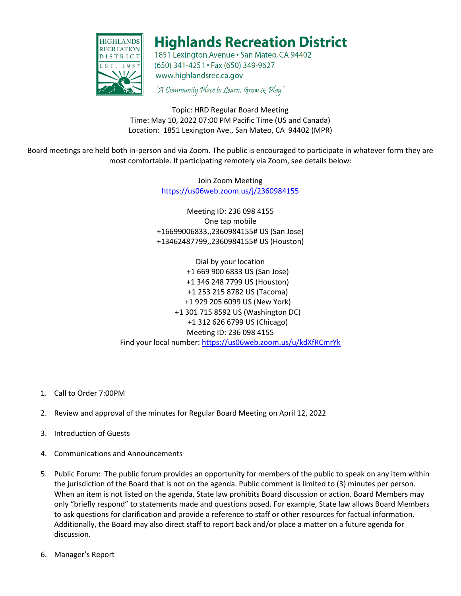

## **Highlands Recreation District**

1851 Lexington Avenue · San Mateo, CA 94402 (650) 341-4251 · Fax (650) 349-9627 www.highlandsrec.ca.gov

"A Community Place to Learn, Grow & Play"

Topic: HRD Regular Board Meeting Time: May 10, 2022 07:00 PM Pacific Time (US and Canada) Location: 1851 Lexington Ave., San Mateo, CA 94402 (MPR)

Board meetings are held both in-person and via Zoom. The public is encouraged to participate in whatever form they are most comfortable. If participating remotely via Zoom, see details below:

> Join Zoom Meeting <https://us06web.zoom.us/j/2360984155>

Meeting ID: 236 098 4155 One tap mobile +16699006833,,2360984155# US (San Jose) +13462487799,,2360984155# US (Houston)

Dial by your location +1 669 900 6833 US (San Jose) +1 346 248 7799 US (Houston) +1 253 215 8782 US (Tacoma) +1 929 205 6099 US (New York) +1 301 715 8592 US (Washington DC) +1 312 626 6799 US (Chicago) Meeting ID: 236 098 4155 Find your local number:<https://us06web.zoom.us/u/kdXfRCmrYk>

- 1. Call to Order 7:00PM
- 2. Review and approval of the minutes for Regular Board Meeting on April 12, 2022
- 3. Introduction of Guests
- 4. Communications and Announcements
- 5. Public Forum: The public forum provides an opportunity for members of the public to speak on any item within the jurisdiction of the Board that is not on the agenda. Public comment is limited to (3) minutes per person. When an item is not listed on the agenda, State law prohibits Board discussion or action. Board Members may only "briefly respond" to statements made and questions posed. For example, State law allows Board Members to ask questions for clarification and provide a reference to staff or other resources for factual information. Additionally, the Board may also direct staff to report back and/or place a matter on a future agenda for discussion.
- 6. Manager's Report